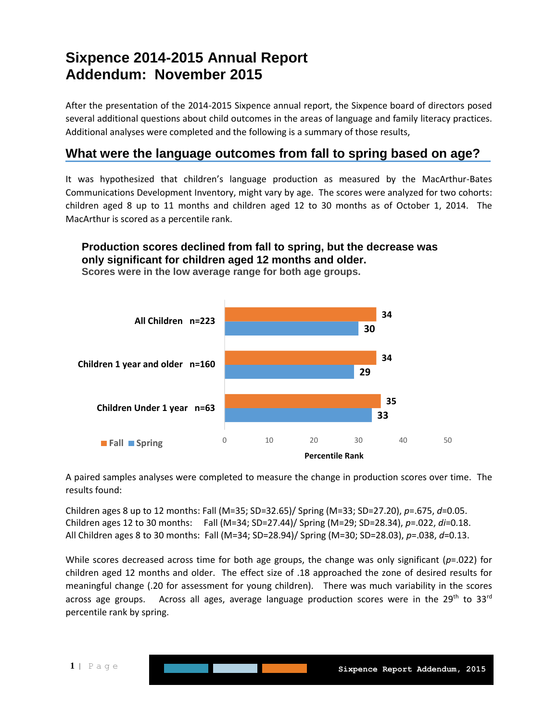# **Sixpence 2014-2015 Annual Report Addendum: November 2015**

After the presentation of the 2014-2015 Sixpence annual report, the Sixpence board of directors posed several additional questions about child outcomes in the areas of language and family literacy practices. Additional analyses were completed and the following is a summary of those results,

## **What were the language outcomes from fall to spring based on age?**

It was hypothesized that children's language production as measured by the MacArthur-Bates Communications Development Inventory, might vary by age. The scores were analyzed for two cohorts: children aged 8 up to 11 months and children aged 12 to 30 months as of October 1, 2014. The MacArthur is scored as a percentile rank.

### **Production scores declined from fall to spring, but the decrease was only significant for children aged 12 months and older.**



**Scores were in the low average range for both age groups.**

A paired samples analyses were completed to measure the change in production scores over time. The results found:

Children ages 8 up to 12 months: Fall (M=35; SD=32.65)/ Spring (M=33; SD=27.20), *p*=.675, *d*=0.05. Children ages 12 to 30 months: Fall (M=34; SD=27.44)/ Spring (M=29; SD=28.34), *p*=.022, *di*=0.18. All Children ages 8 to 30 months: Fall (M=34; SD=28.94)/ Spring (M=30; SD=28.03), *p*=.038, *d*=0.13.

While scores decreased across time for both age groups, the change was only significant (*p*=.022) for children aged 12 months and older. The effect size of .18 approached the zone of desired results for meaningful change (.20 for assessment for young children). There was much variability in the scores across age groups. Across all ages, average language production scores were in the  $29<sup>th</sup>$  to  $33<sup>rd</sup>$ percentile rank by spring.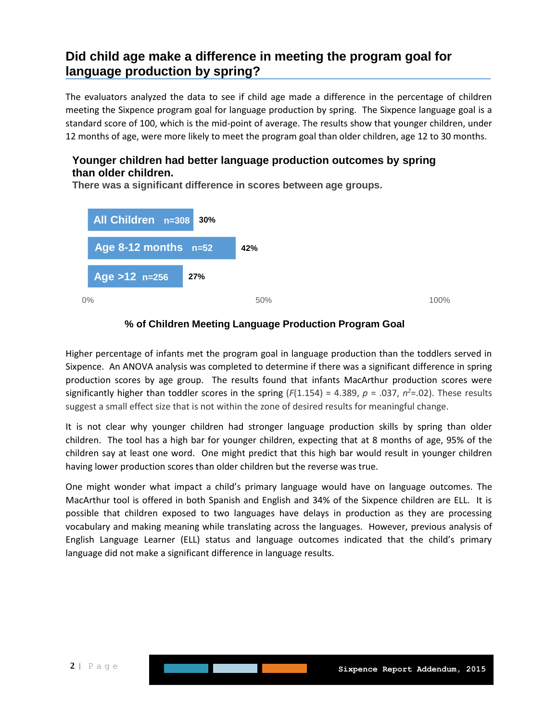# **Did child age make a difference in meeting the program goal for language production by spring?**

The evaluators analyzed the data to see if child age made a difference in the percentage of children meeting the Sixpence program goal for language production by spring. The Sixpence language goal is a standard score of 100, which is the mid-point of average. The results show that younger children, under 12 months of age, were more likely to meet the program goal than older children, age 12 to 30 months.

### **Younger children had better language production outcomes by spring than older children.**

**There was a significant difference in scores between age groups.** 



#### **% of Children Meeting Language Production Program Goal**

Higher percentage of infants met the program goal in language production than the toddlers served in Sixpence. An ANOVA analysis was completed to determine if there was a significant difference in spring production scores by age group. The results found that infants MacArthur production scores were significantly higher than toddler scores in the spring  $(F(1.154) = 4.389, p = .037, n^2= .02)$ . These results suggest a small effect size that is not within the zone of desired results for meaningful change.

It is not clear why younger children had stronger language production skills by spring than older children. The tool has a high bar for younger children, expecting that at 8 months of age, 95% of the children say at least one word. One might predict that this high bar would result in younger children having lower production scores than older children but the reverse was true.

One might wonder what impact a child's primary language would have on language outcomes. The MacArthur tool is offered in both Spanish and English and 34% of the Sixpence children are ELL. It is possible that children exposed to two languages have delays in production as they are processing vocabulary and making meaning while translating across the languages. However, previous analysis of English Language Learner (ELL) status and language outcomes indicated that the child's primary language did not make a significant difference in language results.

l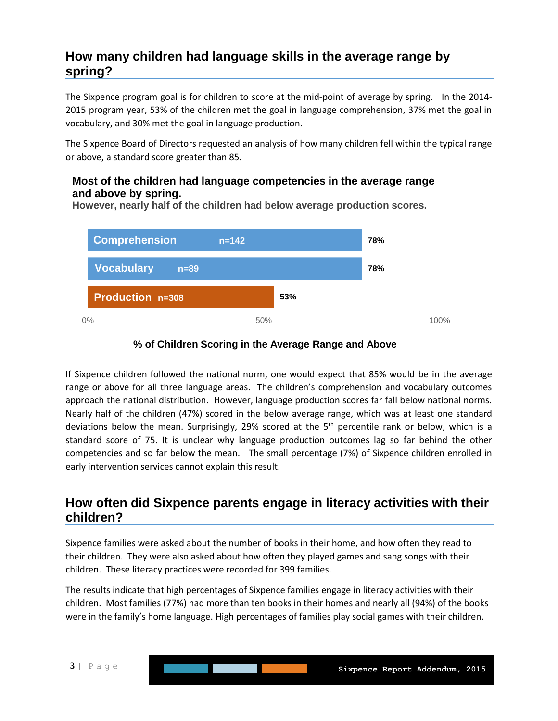# **How many children had language skills in the average range by spring?**

The Sixpence program goal is for children to score at the mid-point of average by spring. In the 2014- 2015 program year, 53% of the children met the goal in language comprehension, 37% met the goal in vocabulary, and 30% met the goal in language production.

The Sixpence Board of Directors requested an analysis of how many children fell within the typical range or above, a standard score greater than 85.

### **Most of the children had language competencies in the average range and above by spring.**



**However, nearly half of the children had below average production scores.**

### **% of Children Scoring in the Average Range and Above**

If Sixpence children followed the national norm, one would expect that 85% would be in the average range or above for all three language areas. The children's comprehension and vocabulary outcomes approach the national distribution. However, language production scores far fall below national norms. Nearly half of the children (47%) scored in the below average range, which was at least one standard deviations below the mean. Surprisingly, 29% scored at the  $5<sup>th</sup>$  percentile rank or below, which is a standard score of 75. It is unclear why language production outcomes lag so far behind the other competencies and so far below the mean. The small percentage (7%) of Sixpence children enrolled in early intervention services cannot explain this result.

### **How often did Sixpence parents engage in literacy activities with their children?**

Sixpence families were asked about the number of books in their home, and how often they read to their children. They were also asked about how often they played games and sang songs with their children. These literacy practices were recorded for 399 families.

The results indicate that high percentages of Sixpence families engage in literacy activities with their children. Most families (77%) had more than ten books in their homes and nearly all (94%) of the books were in the family's home language. High percentages of families play social games with their children.

l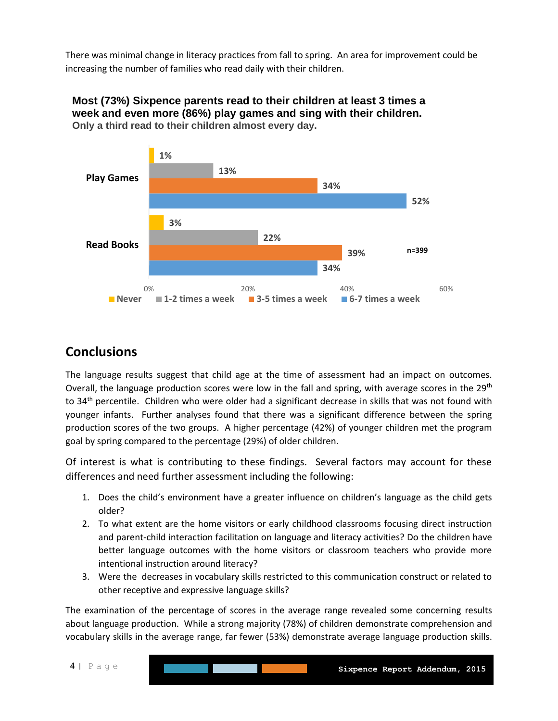There was minimal change in literacy practices from fall to spring. An area for improvement could be increasing the number of families who read daily with their children.



**Most (73%) Sixpence parents read to their children at least 3 times a week and even more (86%) play games and sing with their children. Only a third read to their children almost every day.**

# **Conclusions**

The language results suggest that child age at the time of assessment had an impact on outcomes. Overall, the language production scores were low in the fall and spring, with average scores in the  $29<sup>th</sup>$ to 34<sup>th</sup> percentile. Children who were older had a significant decrease in skills that was not found with younger infants. Further analyses found that there was a significant difference between the spring production scores of the two groups. A higher percentage (42%) of younger children met the program goal by spring compared to the percentage (29%) of older children.

Of interest is what is contributing to these findings. Several factors may account for these differences and need further assessment including the following:

- 1. Does the child's environment have a greater influence on children's language as the child gets older?
- 2. To what extent are the home visitors or early childhood classrooms focusing direct instruction and parent-child interaction facilitation on language and literacy activities? Do the children have better language outcomes with the home visitors or classroom teachers who provide more intentional instruction around literacy?
- 3. Were the decreases in vocabulary skills restricted to this communication construct or related to other receptive and expressive language skills?

l

The examination of the percentage of scores in the average range revealed some concerning results about language production. While a strong majority (78%) of children demonstrate comprehension and vocabulary skills in the average range, far fewer (53%) demonstrate average language production skills.